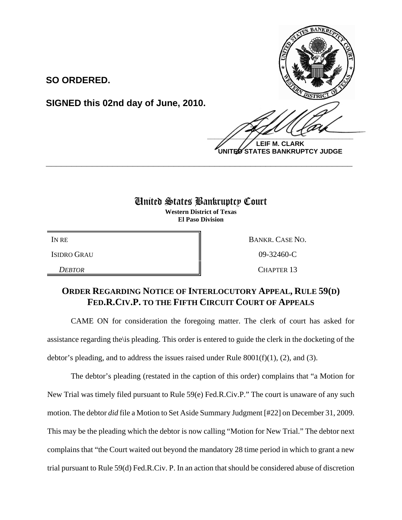

**SIGNED this 02nd day of June, 2010.**

 $\frac{1}{2}$ 

**LEIF M. CLARK UNITED STATES BANKRUPTCY JUDGE**

## United States Bankruptcy Court

**\_\_\_\_\_\_\_\_\_\_\_\_\_\_\_\_\_\_\_\_\_\_\_\_\_\_\_\_\_\_\_\_\_\_\_\_\_\_\_\_\_\_\_\_\_\_\_\_\_\_\_\_\_\_\_\_\_\_\_\_**

**Western District of Texas El Paso Division**

IN RE BANKR. CASE NO. ISIDRO GRAU 09-32460-C *DEBTOR* CHAPTER 13

## **ORDER REGARDING NOTICE OF INTERLOCUTORY APPEAL, RULE 59(D) FED.R.CIV.P. TO THE FIFTH CIRCUIT COURT OF APPEALS**

CAME ON for consideration the foregoing matter. The clerk of court has asked for assistance regarding the\is pleading. This order is entered to guide the clerk in the docketing of the debtor's pleading, and to address the issues raised under Rule  $8001(f)(1)$ , (2), and (3).

The debtor's pleading (restated in the caption of this order) complains that "a Motion for New Trial was timely filed pursuant to Rule 59(e) Fed.R.Civ.P." The court is unaware of any such motion. The debtor *did* file a Motion to Set Aside Summary Judgment [#22] on December 31, 2009. This may be the pleading which the debtor is now calling "Motion for New Trial." The debtor next complains that "the Court waited out beyond the mandatory 28 time period in which to grant a new trial pursuant to Rule 59(d) Fed.R.Civ. P. In an action that should be considered abuse of discretion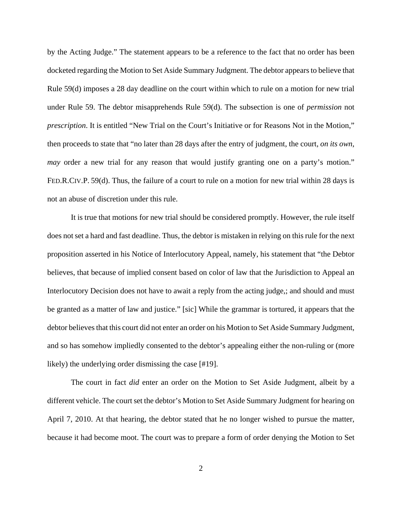by the Acting Judge." The statement appears to be a reference to the fact that no order has been docketed regarding the Motion to Set Aside Summary Judgment. The debtor appears to believe that Rule 59(d) imposes a 28 day deadline on the court within which to rule on a motion for new trial under Rule 59. The debtor misapprehends Rule 59(d). The subsection is one of *permission* not *prescription*. It is entitled "New Trial on the Court's Initiative or for Reasons Not in the Motion," then proceeds to state that "no later than 28 days after the entry of judgment, the court, *on its own*, *may* order a new trial for any reason that would justify granting one on a party's motion." FED.R.CIV.P. 59(d). Thus, the failure of a court to rule on a motion for new trial within 28 days is not an abuse of discretion under this rule.

It is true that motions for new trial should be considered promptly. However, the rule itself does not set a hard and fast deadline. Thus, the debtor is mistaken in relying on this rule for the next proposition asserted in his Notice of Interlocutory Appeal, namely, his statement that "the Debtor believes, that because of implied consent based on color of law that the Jurisdiction to Appeal an Interlocutory Decision does not have to await a reply from the acting judge,; and should and must be granted as a matter of law and justice." [sic] While the grammar is tortured, it appears that the debtor believes that this court did not enter an order on his Motion to Set Aside Summary Judgment, and so has somehow impliedly consented to the debtor's appealing either the non-ruling or (more likely) the underlying order dismissing the case [#19].

The court in fact *did* enter an order on the Motion to Set Aside Judgment, albeit by a different vehicle. The court set the debtor's Motion to Set Aside Summary Judgment for hearing on April 7, 2010. At that hearing, the debtor stated that he no longer wished to pursue the matter, because it had become moot. The court was to prepare a form of order denying the Motion to Set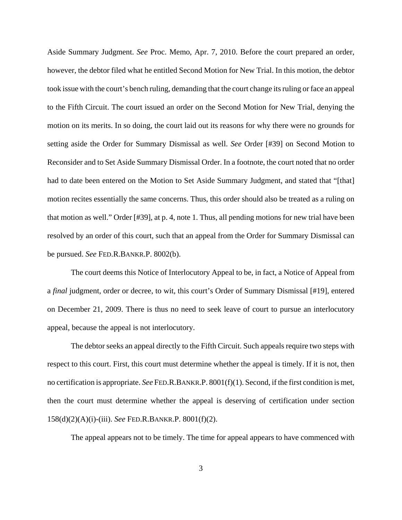Aside Summary Judgment. *See* Proc. Memo, Apr. 7, 2010. Before the court prepared an order, however, the debtor filed what he entitled Second Motion for New Trial. In this motion, the debtor took issue with the court's bench ruling, demanding that the court change its ruling or face an appeal to the Fifth Circuit. The court issued an order on the Second Motion for New Trial, denying the motion on its merits. In so doing, the court laid out its reasons for why there were no grounds for setting aside the Order for Summary Dismissal as well. *See* Order [#39] on Second Motion to Reconsider and to Set Aside Summary Dismissal Order. In a footnote, the court noted that no order had to date been entered on the Motion to Set Aside Summary Judgment, and stated that "[that] motion recites essentially the same concerns. Thus, this order should also be treated as a ruling on that motion as well." Order [#39], at p. 4, note 1. Thus, all pending motions for new trial have been resolved by an order of this court, such that an appeal from the Order for Summary Dismissal can be pursued. *See* FED.R.BANKR.P. 8002(b).

The court deems this Notice of Interlocutory Appeal to be, in fact, a Notice of Appeal from a *final* judgment, order or decree, to wit, this court's Order of Summary Dismissal [#19], entered on December 21, 2009. There is thus no need to seek leave of court to pursue an interlocutory appeal, because the appeal is not interlocutory.

The debtor seeks an appeal directly to the Fifth Circuit. Such appeals require two steps with respect to this court. First, this court must determine whether the appeal is timely. If it is not, then no certification is appropriate. *See* FED.R.BANKR.P. 8001(f)(1). Second, if the first condition is met, then the court must determine whether the appeal is deserving of certification under section 158(d)(2)(A)(i)-(iii). *See* FED.R.BANKR.P. 8001(f)(2).

The appeal appears not to be timely. The time for appeal appears to have commenced with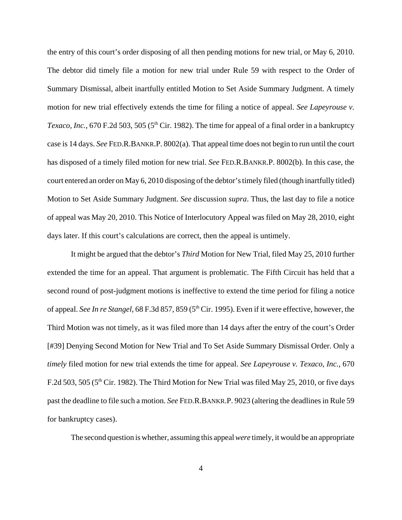the entry of this court's order disposing of all then pending motions for new trial, or May 6, 2010. The debtor did timely file a motion for new trial under Rule 59 with respect to the Order of Summary Dismissal, albeit inartfully entitled Motion to Set Aside Summary Judgment. A timely motion for new trial effectively extends the time for filing a notice of appeal. *See Lapeyrouse v. Texaco, Inc.*, 670 F.2d 503, 505 (5<sup>th</sup> Cir. 1982). The time for appeal of a final order in a bankruptcy case is 14 days. *See* FED.R.BANKR.P. 8002(a). That appeal time does not begin to run until the court has disposed of a timely filed motion for new trial. *See* FED.R.BANKR.P. 8002(b). In this case, the court entered an order on May 6, 2010 disposing of the debtor's timely filed (though inartfully titled) Motion to Set Aside Summary Judgment. *See* discussion *supra*. Thus, the last day to file a notice of appeal was May 20, 2010. This Notice of Interlocutory Appeal was filed on May 28, 2010, eight days later. If this court's calculations are correct, then the appeal is untimely.

It might be argued that the debtor's *Third* Motion for New Trial, filed May 25, 2010 further extended the time for an appeal. That argument is problematic. The Fifth Circuit has held that a second round of post-judgment motions is ineffective to extend the time period for filing a notice of appeal. *See In re Stangel*, 68 F.3d 857, 859 (5<sup>th</sup> Cir. 1995). Even if it were effective, however, the Third Motion was not timely, as it was filed more than 14 days after the entry of the court's Order [#39] Denying Second Motion for New Trial and To Set Aside Summary Dismissal Order. Only a *timely* filed motion for new trial extends the time for appeal. *See Lapeyrouse v. Texaco, Inc.*, 670 F.2d 503, 505 ( $5<sup>th</sup>$  Cir. 1982). The Third Motion for New Trial was filed May 25, 2010, or five days past the deadline to file such a motion. *See* FED.R.BANKR.P. 9023 (altering the deadlines in Rule 59 for bankruptcy cases).

The second question is whether, assuming this appeal *were* timely, it would be an appropriate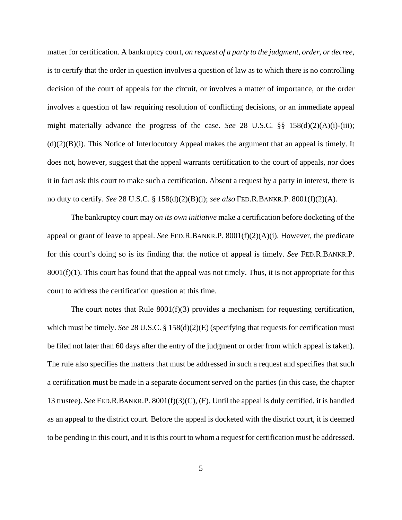matter for certification. A bankruptcy court, *on request of a party to the judgment, order, or decree*, is to certify that the order in question involves a question of law as to which there is no controlling decision of the court of appeals for the circuit, or involves a matter of importance, or the order involves a question of law requiring resolution of conflicting decisions, or an immediate appeal might materially advance the progress of the case. *See* 28 U.S.C. §§ 158(d)(2)(A)(i)-(iii);  $(d)(2)(B)(i)$ . This Notice of Interlocutory Appeal makes the argument that an appeal is timely. It does not, however, suggest that the appeal warrants certification to the court of appeals, nor does it in fact ask this court to make such a certification. Absent a request by a party in interest, there is no duty to certify. *See* 28 U.S.C. § 158(d)(2)(B)(i); *see also* FED.R.BANKR.P. 8001(f)(2)(A).

The bankruptcy court may *on its own initiative* make a certification before docketing of the appeal or grant of leave to appeal. *See* FED.R.BANKR.P. 8001(f)(2)(A)(i). However, the predicate for this court's doing so is its finding that the notice of appeal is timely. *See* FED.R.BANKR.P.  $8001(f)(1)$ . This court has found that the appeal was not timely. Thus, it is not appropriate for this court to address the certification question at this time.

The court notes that Rule 8001(f)(3) provides a mechanism for requesting certification, which must be timely. *See* 28 U.S.C. § 158(d)(2)(E) (specifying that requests for certification must be filed not later than 60 days after the entry of the judgment or order from which appeal is taken). The rule also specifies the matters that must be addressed in such a request and specifies that such a certification must be made in a separate document served on the parties (in this case, the chapter 13 trustee). *See* FED.R.BANKR.P. 8001(f)(3)(C), (F). Until the appeal is duly certified, it is handled as an appeal to the district court. Before the appeal is docketed with the district court, it is deemed to be pending in this court, and it is this court to whom a request for certification must be addressed.